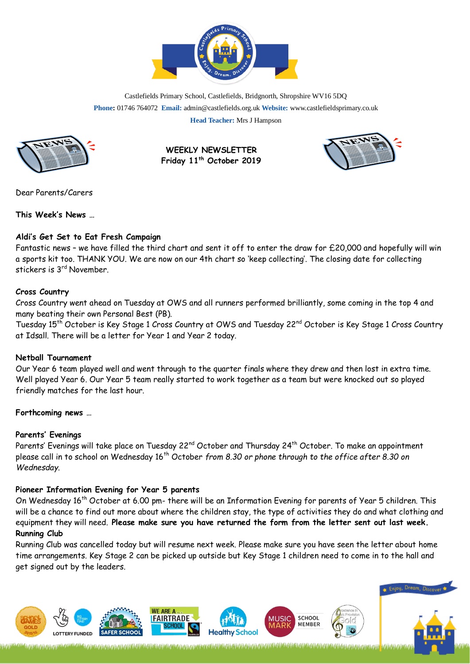

Castlefields Primary School, Castlefields, Bridgnorth, Shropshire WV16 5DQ **Phone:** 01746 764072 **Email:** admin@castlefields.org.uk **Website:** www.castlefieldsprimary.co.uk **Head Teacher:** Mrs J Hampson



**WEEKLY NEWSLETTER Friday 11th October 2019**



Dear Parents/Carers

**This Week's News …**

## **Aldi's Get Set to Eat Fresh Campaign**

Fantastic news – we have filled the third chart and sent it off to enter the draw for £20,000 and hopefully will win a sports kit too. THANK YOU. We are now on our 4th chart so 'keep collecting'. The closing date for collecting stickers is 3<sup>rd</sup> November.

## **Cross Country**

Cross Country went ahead on Tuesday at OWS and all runners performed brilliantly, some coming in the top 4 and many beating their own Personal Best (PB).

Tuesday 15<sup>th</sup> October is Key Stage 1 Cross Country at OWS and Tuesday 22<sup>nd</sup> October is Key Stage 1 Cross Country at Idsall. There will be a letter for Year 1 and Year 2 today.

## **Netball Tournament**

Our Year 6 team played well and went through to the quarter finals where they drew and then lost in extra time. Well played Year 6. Our Year 5 team really started to work together as a team but were knocked out so played friendly matches for the last hour.

## **Forthcoming news …**

# **Parents' Evenings**

Parents' Evenings will take place on Tuesday 22<sup>nd</sup> October and Thursday 24<sup>th</sup> October. To make an appointment please call in to school on Wednesday 16<sup>th</sup> October *from 8.30 or phone through to the office after 8.30 on Wednesday*.

# **Pioneer Information Evening for Year 5 parents**

On Wednesday 16th October at 6.00 pm- there will be an Information Evening for parents of Year 5 children. This will be a chance to find out more about where the children stay, the type of activities they do and what clothing and equipment they will need. **Please make sure you have returned the form from the letter sent out last week. Running Club** 

Running Club was cancelled today but will resume next week. Please make sure you have seen the letter about home time arrangements. Key Stage 2 can be picked up outside but Key Stage 1 children need to come in to the hall and get signed out by the leaders.

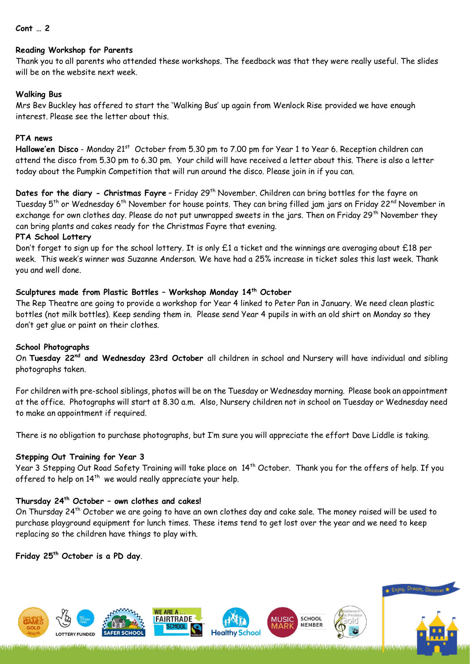#### **Cont … 2**

#### **Reading Workshop for Parents**

Thank you to all parents who attended these workshops. The feedback was that they were really useful. The slides will be on the website next week.

## **Walking Bus**

Mrs Bev Buckley has offered to start the 'Walking Bus' up again from Wenlock Rise provided we have enough interest. Please see the letter about this.

## **PTA news**

Hallowe'en Disco - Monday 21<sup>st</sup> October from 5.30 pm to 7.00 pm for Year 1 to Year 6. Reception children can attend the disco from 5.30 pm to 6.30 pm. Your child will have received a letter about this. There is also a letter today about the Pumpkin Competition that will run around the disco. Please join in if you can.

**Dates for the diary - Christmas Fayre** - Friday 29<sup>th</sup> November. Children can bring bottles for the fayre on Tuesday 5<sup>th</sup> or Wednesday 6<sup>th</sup> November for house points. They can bring filled jam jars on Friday 22<sup>nd</sup> November in exchange for own clothes day. Please do not put unwrapped sweets in the jars. Then on Friday 29<sup>th</sup> November they can bring plants and cakes ready for the Christmas Fayre that evening.

#### **PTA School Lottery**

Don't forget to sign up for the school lottery. It is only £1 a ticket and the winnings are averaging about £18 per week. This week's winner was Suzanne Anderson. We have had a 25% increase in ticket sales this last week. Thank you and well done.

## **Sculptures made from Plastic Bottles – Workshop Monday 14th October**

The Rep Theatre are going to provide a workshop for Year 4 linked to Peter Pan in January. We need clean plastic bottles (not milk bottles). Keep sending them in. Please send Year 4 pupils in with an old shirt on Monday so they don't get glue or paint on their clothes.

#### **School Photographs**

On **Tuesday 22nd and Wednesday 23rd October** all children in school and Nursery will have individual and sibling photographs taken.

For children with pre-school siblings, photos will be on the Tuesday or Wednesday morning. Please book an appointment at the office. Photographs will start at 8.30 a.m. Also, Nursery children not in school on Tuesday or Wednesday need to make an appointment if required.

There is no obligation to purchase photographs, but I'm sure you will appreciate the effort Dave Liddle is taking.

## **Stepping Out Training for Year 3**

Year 3 Stepping Out Road Safety Training will take place on 14<sup>th</sup> October. Thank you for the offers of help. If you offered to help on  $14^{\text{th}}$  we would really appreciate your help.

# **Thursday 24th October – own clothes and cakes!**

On Thursday 24th October we are going to have an own clothes day and cake sale. The money raised will be used to purchase playground equipment for lunch times. These items tend to get lost over the year and we need to keep replacing so the children have things to play with.

**Friday 25 th October is a PD day**.